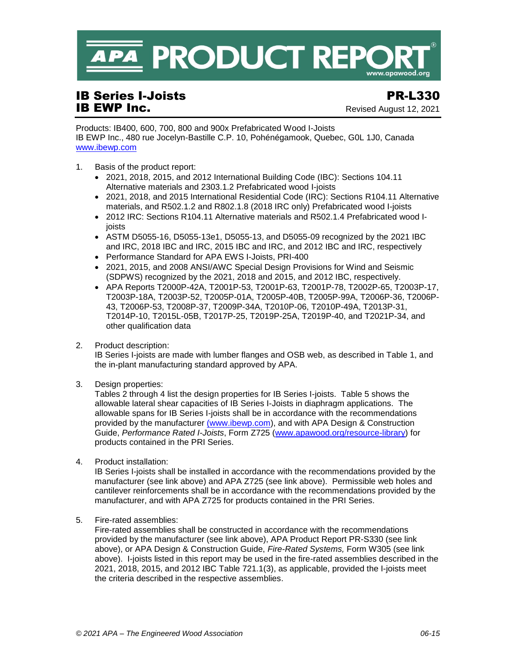

## **IB Series I-Joists PR-L330**<br> **IB EWP Inc.**<br> **IB EWP Inc.**

Revised August 12, 2021

Products: IB400, 600, 700, 800 and 900x Prefabricated Wood I-Joists IB EWP Inc., 480 rue Jocelyn-Bastille C.P. 10, Pohénégamook, Quebec, G0L 1J0, Canada [www.ibewp.com](http://www.ibewp.com/)

- 1. Basis of the product report:
	- 2021, 2018, 2015, and 2012 International Building Code (IBC): Sections 104.11 Alternative materials and 2303.1.2 Prefabricated wood I-joists
	- 2021, 2018, and 2015 International Residential Code (IRC): Sections R104.11 Alternative materials, and R502.1.2 and R802.1.8 (2018 IRC only) Prefabricated wood I-joists
	- 2012 IRC: Sections R104.11 Alternative materials and R502.1.4 Prefabricated wood Ijoists
	- ASTM D5055-16, D5055-13e1, D5055-13, and D5055-09 recognized by the 2021 IBC and IRC, 2018 IBC and IRC, 2015 IBC and IRC, and 2012 IBC and IRC, respectively
	- Performance Standard for APA EWS I-Joists, PRI-400
	- 2021, 2015, and 2008 ANSI/AWC Special Design Provisions for Wind and Seismic (SDPWS) recognized by the 2021, 2018 and 2015, and 2012 IBC, respectively.
	- APA Reports T2000P-42A, T2001P-53, T2001P-63, T2001P-78, T2002P-65, T2003P-17, T2003P-18A, T2003P-52, T2005P-01A, T2005P-40B, T2005P-99A, T2006P-36, T2006P-43, T2006P-53, T2008P-37, T2009P-34A, T2010P-06, T2010P-49A, T2013P-31, T2014P-10, T2015L-05B, T2017P-25, T2019P-25A, T2019P-40, and T2021P-34, and other qualification data
- 2. Product description:

IB Series I-joists are made with lumber flanges and OSB web, as described in Table 1, and the in-plant manufacturing standard approved by APA.

3. Design properties:

Tables 2 through 4 list the design properties for IB Series I-joists. Table 5 shows the allowable lateral shear capacities of IB Series I-Joists in diaphragm applications. The allowable spans for IB Series I-joists shall be in accordance with the recommendations provided by the manufacturer [\(www.ibewp.com\)](http://www.ibewp.com/), and with APA Design & Construction Guide, *Performance Rated I-Joists*, Form Z725 [\(www.apawood.org/resource-library\)](http://www.apawood.org/resource-library) for products contained in the PRI Series.

4. Product installation:

IB Series I-joists shall be installed in accordance with the recommendations provided by the manufacturer (see link above) and APA Z725 (see link above). Permissible web holes and cantilever reinforcements shall be in accordance with the recommendations provided by the manufacturer, and with APA Z725 for products contained in the PRI Series.

5. Fire-rated assemblies:

Fire-rated assemblies shall be constructed in accordance with the recommendations provided by the manufacturer (see link above), APA Product Report PR-S330 (see link above), or APA Design & Construction Guide, *Fire-Rated Systems,* Form W305 (see link above). I-joists listed in this report may be used in the fire-rated assemblies described in the 2021, 2018, 2015, and 2012 IBC Table 721.1(3), as applicable, provided the I-joists meet the criteria described in the respective assemblies.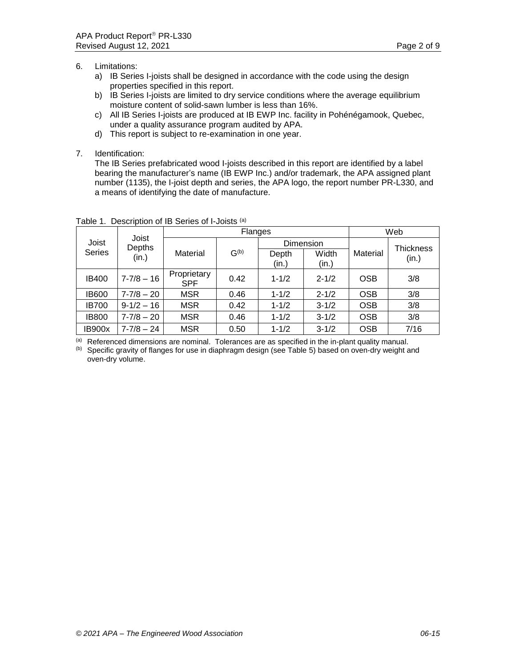- 6. Limitations:
	- a) IB Series I-joists shall be designed in accordance with the code using the design properties specified in this report.
	- b) IB Series I-joists are limited to dry service conditions where the average equilibrium moisture content of solid-sawn lumber is less than 16%.
	- c) All IB Series I-joists are produced at IB EWP Inc. facility in Pohénégamook, Quebec, under a quality assurance program audited by APA.
	- d) This report is subject to re-examination in one year.
- 7. Identification:

The IB Series prefabricated wood I-joists described in this report are identified by a label bearing the manufacturer's name (IB EWP Inc.) and/or trademark, the APA assigned plant number (1135), the I-joist depth and series, the APA logo, the report number PR-L330, and a means of identifying the date of manufacture.

|                        | Joist           |                           | <b>Flanges</b> | Web            |                             |            |                    |
|------------------------|-----------------|---------------------------|----------------|----------------|-----------------------------|------------|--------------------|
| Joist<br><b>Series</b> | Depths<br>(in.) | Material                  | $G^{(b)}$      | Depth<br>(in.) | Dimension<br>Width<br>(in.) | Material   | Thickness<br>(in.) |
| <b>IB400</b>           | $7 - 7/8 - 16$  | Proprietary<br><b>SPF</b> | 0.42           | $1 - 1/2$      | $2 - 1/2$                   | <b>OSB</b> | 3/8                |
| <b>IB600</b>           | $7 - 7/8 - 20$  | <b>MSR</b>                | 0.46           | $1 - 1/2$      | $2 - 1/2$                   | <b>OSB</b> | 3/8                |
| <b>IB700</b>           | $9-1/2-16$      | <b>MSR</b>                | 0.42           | $1 - 1/2$      | $3 - 1/2$                   | <b>OSB</b> | 3/8                |
| <b>IB800</b>           | $7 - 7/8 - 20$  | <b>MSR</b>                | 0.46           | $1 - 1/2$      | $3 - 1/2$                   | <b>OSB</b> | 3/8                |
| <b>IB900x</b>          | $7 - 7/8 - 24$  | <b>MSR</b>                | 0.50           | $1 - 1/2$      | $3 - 1/2$                   | <b>OSB</b> | 7/16               |

Table 1. Description of IB Series of I-Joists (a)

 $<sup>(a)</sup>$  Referenced dimensions are nominal. Tolerances are as specified in the in-plant quality manual.</sup>

(b) Specific gravity of flanges for use in diaphragm design (see Table 5) based on oven-dry weight and oven-dry volume.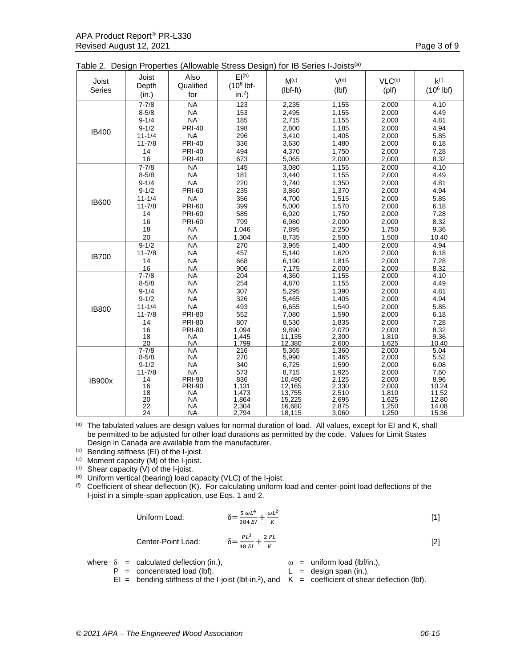|  |  |  | Table 2. Design Properties (Allowable Stress Design) for IB Series I-Joists <sup>(a)</sup> |  |
|--|--|--|--------------------------------------------------------------------------------------------|--|
|  |  |  |                                                                                            |  |

| Joist         | Joist                  | Also                   | EI <sub>(b)</sub> | M <sup>(c)</sup> | V <sub>(d)</sub> | VLC <sup>(e)</sup> | $k^{(f)}$             |
|---------------|------------------------|------------------------|-------------------|------------------|------------------|--------------------|-----------------------|
| Series        | Depth                  | Qualified              | $(106$ lbf-       | $(lbf-ft)$       | (lbf)            | $($ plf $)$        | (10 <sup>6</sup> lbf) |
|               | (in.)                  | for                    | in. <sup>2</sup>  |                  |                  |                    |                       |
|               | $7 - 7/8$              | $\overline{NA}$        | 123               | 2,235            | 1,155            | 2,000              | 4.10                  |
|               | $8 - 5/8$              | <b>NA</b>              | 153               | 2,495            | 1,155            | 2,000              | 4.49                  |
|               | $9 - 1/4$              | <b>NA</b>              | 185               | 2,715            | 1,155            | 2,000              | 4.81                  |
|               | $9 - 1/2$              | <b>PRI-40</b>          | 198               | 2,800            | 1,185            | 2,000              | 4.94                  |
| <b>IB400</b>  | $11 - 1/4$             | <b>NA</b>              | 296               | 3,410            | 1,405            | 2,000              | 5.85                  |
|               | $11 - 7/8$             | <b>PRI-40</b>          | 336               | 3,630            | 1,480            | 2,000              | 6.18                  |
|               | 14                     | <b>PRI-40</b>          | 494               | 4,370            | 1,750            | 2,000              | 7.28                  |
|               | 16                     | <b>PRI-40</b>          | 673               | 5,065            | 2,000            | 2,000              | 8.32                  |
|               | $7 - 7/8$              | <b>NA</b>              | 145               | 3,080            | 1,155            | 2,000              | 4.10                  |
|               | $8 - 5/8$              | <b>NA</b>              | 181               | 3,440            | 1,155            | 2,000              | 4.49                  |
|               | $9 - 1/4$              | <b>NA</b>              | 220               | 3,740            | 1,350            | 2,000              | 4.81                  |
|               | $9 - 1/2$              | <b>PRI-60</b>          | 235               | 3,860            | 1,370            | 2,000              | 4.94                  |
|               | $11 - 1/4$             | <b>NA</b>              | 356               | 4,700            | 1,515            | 2,000              | 5.85                  |
| <b>IB600</b>  | $11 - 7/8$             | <b>PRI-60</b>          | 399               | 5,000            | 1,570            | 2,000              | 6.18                  |
|               | 14                     | <b>PRI-60</b>          | 585               | 6,020            | 1,750            | 2,000              | 7.28                  |
|               | 16                     | <b>PRI-60</b>          | 799               | 6,980            | 2,000            | 2,000              | 8.32                  |
|               | 18                     | <b>NA</b>              | 1,046             | 7,895            | 2,250            | 1,750              | 9.36                  |
|               | 20                     | <b>NA</b>              | 1,304             | 8,735            | 2,500            | 1,500              | 10.40                 |
|               | $9 - 1/2$              | $\overline{NA}$        | 270               | 3,965            | 1,400            | 2,000              | 4.94                  |
|               | $11 - 7/8$             | <b>NA</b>              | 457               | 5,140            | 1,620            | 2,000              | 6.18                  |
| <b>IB700</b>  | 14                     | <b>NA</b>              | 668               | 6,190            | 1,815            | 2,000              | 7.28                  |
|               | 16                     | <b>NA</b>              | 906               | 7,175            | 2,000            | 2.000              | 8.32                  |
|               | $7 - 7/8$              | $\overline{NA}$        | 204               | 4,360            | 1,155            | 2,000              | 4.10                  |
|               | $8 - 5/8$              | <b>NA</b>              | 254               | 4,870            | 1,155            | 2,000              | 4.49                  |
|               | $9 - 1/4$              | <b>NA</b>              | 307               | 5,295            | 1,390            | 2,000              | 4.81                  |
|               | $9 - 1/2$              | <b>NA</b>              | 326               | 5,465            | 1,405            | 2,000              | 4.94                  |
| <b>IB800</b>  | $11 - 1/4$             | <b>NA</b>              | 493               | 6,655            | 1,540            | 2,000              | 5.85                  |
|               | $11 - 7/8$             | <b>PRI-80</b>          | 552               | 7,080            | 1,590            | 2,000              | 6.18                  |
|               | 14                     | <b>PRI-80</b>          | 807               | 8,530            | 1,835            | 2,000              | 7.28                  |
|               | 16                     | <b>PRI-80</b>          | 1,094             | 9,890            | 2,070            | 2,000              | 8.32                  |
|               | 18                     | <b>NA</b>              | 1,445             | 11,135           | 2,300            | 1,810              | 9.36                  |
|               | 20                     | <b>NA</b>              | 1,799             | 12,380           | 2,600            | 1,625              | 10.40<br>5.04         |
|               | $7 - 7/8$<br>$8 - 5/8$ | <b>NA</b><br><b>NA</b> | 216<br>270        | 5,365<br>5,990   | 1,360<br>1,465   | 2.000<br>2,000     | 5.52                  |
|               | $9 - 1/2$              | <b>NA</b>              | 340               | 6,725            | 1,590            | 2,000              | 6.08                  |
|               | $11 - 7/8$             | <b>NA</b>              | 573               | 8,715            | 1,925            | 2,000              | 7.60                  |
|               | 14                     | <b>PRI-90</b>          | 836               | 10,490           | 2,125            | 2,000              | 8.96                  |
| <b>IB900x</b> | 16                     | <b>PRI-90</b>          | 1,131             | 12,165           | 2,330            | 2,000              | 10.24                 |
|               | 18                     | <b>NA</b>              | 1,473             | 13,755           | 2,510            | 1,810              | 11.52                 |
|               | 20                     | <b>NA</b>              | 1,864             | 15,225           | 2,695            | 1,625              | 12.80                 |
|               | 22                     | <b>NA</b>              | 2,304             | 16,680           | 2,875            | 1,250              | 14.08                 |
|               | 24                     | <b>NA</b>              | 2,794             | 18,115           | 3,060            | 1,250              | 15.36                 |

 $<sup>(a)</sup>$  The tabulated values are design values for normal duration of load. All values, except for EI and K, shall</sup> be permitted to be adjusted for other load durations as permitted by the code. Values for Limit States Design in Canada are available from the manufacturer.

(b) Bending stiffness (EI) of the I-joist.

(c) Moment capacity (M) of the I-joist.

 $(d)$  Shear capacity  $(V)$  of the I-joist.

(e) Uniform vertical (bearing) load capacity (VLC) of the I-joist.<br>(f) Coefficient of shear deflection (K) For calculating uniform

Coefficient of shear deflection (K). For calculating uniform load and center-point load deflections of the I-joist in a simple-span application, use Eqs. 1 and 2.

Uniform Load:

$$
\delta = \frac{5 \omega L^4}{384 EI} + \frac{\omega L^2}{K}
$$
 [1]

Center-Point Load: δ=

$$
=\frac{PL^3}{48EI} + \frac{2PL}{K}
$$
 [2]

where  $\delta$  = calculated deflection (in.),  $\omega$  = uniform load (lbf/in.),<br>  $P$  = concentrated load (lbf),  $\angle$  L = design span (in.),  $P =$  concentrated load (lbf),

- 
- $El =$  bending stiffness of the I-joist (lbf-in.<sup>2</sup>), and  $K =$  coefficient of shear deflection (lbf).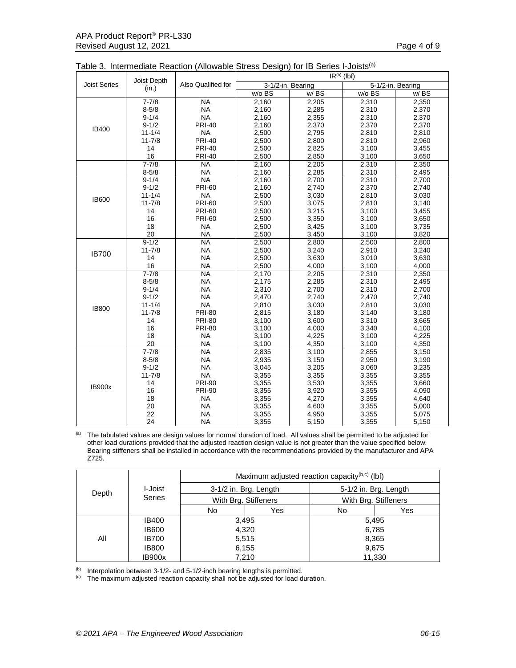|                     |                      |                    | $IR^{(b)}$ (lbf)  |       |        |                   |  |  |  |
|---------------------|----------------------|--------------------|-------------------|-------|--------|-------------------|--|--|--|
| <b>Joist Series</b> | Joist Depth<br>(in.) | Also Qualified for | 3-1/2-in. Bearing |       |        | 5-1/2-in. Bearing |  |  |  |
|                     |                      |                    | w/o BS            | W/BS  | w/o BS | W/BS              |  |  |  |
|                     | $7 - 7/8$            | <b>NA</b>          | 2,160             | 2,205 | 2,310  | 2,350             |  |  |  |
|                     | $8 - 5/8$            | <b>NA</b>          | 2,160             | 2,285 | 2,310  | 2,370             |  |  |  |
|                     | $9 - 1/4$            | <b>NA</b>          | 2,160             | 2,355 | 2,310  | 2,370             |  |  |  |
|                     | $9 - 1/2$            | <b>PRI-40</b>      | 2,160             | 2,370 | 2,370  | 2,370             |  |  |  |
| <b>IB400</b>        | $11 - 1/4$           | <b>NA</b>          | 2,500             | 2,795 | 2,810  | 2,810             |  |  |  |
|                     | $11 - 7/8$           | <b>PRI-40</b>      | 2,500             | 2,800 | 2,810  | 2,960             |  |  |  |
|                     | 14                   | <b>PRI-40</b>      | 2,500             | 2,825 | 3,100  | 3,455             |  |  |  |
|                     | 16                   | <b>PRI-40</b>      | 2,500             | 2,850 | 3,100  | 3,650             |  |  |  |
|                     | $7 - 7/8$            | <b>NA</b>          | 2,160             | 2,205 | 2,310  | 2,350             |  |  |  |
|                     | $8 - 5/8$            | <b>NA</b>          | 2,160             | 2,285 | 2,310  | 2,495             |  |  |  |
|                     | $9 - 1/4$            | <b>NA</b>          | 2,160             | 2,700 | 2,310  | 2,700             |  |  |  |
|                     | $9 - 1/2$            | <b>PRI-60</b>      | 2,160             | 2,740 | 2,370  | 2,740             |  |  |  |
| <b>IB600</b>        | $11 - 1/4$           | <b>NA</b>          | 2,500             | 3,030 | 2,810  | 3,030             |  |  |  |
|                     | $11 - 7/8$           | <b>PRI-60</b>      | 2,500             | 3,075 | 2,810  | 3,140             |  |  |  |
|                     | 14                   | <b>PRI-60</b>      | 2,500             | 3,215 | 3,100  | 3,455             |  |  |  |
|                     | 16                   | <b>PRI-60</b>      | 2,500             | 3,350 | 3,100  | 3,650             |  |  |  |
|                     | 18                   | <b>NA</b>          | 2,500             | 3,425 | 3,100  | 3,735             |  |  |  |
|                     | 20                   | <b>NA</b>          | 2,500             | 3,450 | 3,100  | 3,820             |  |  |  |
|                     | $9 - 1/2$            | N <sub>A</sub>     | 2,500             | 2,800 | 2,500  | 2,800             |  |  |  |
| <b>IB700</b>        | $11 - 7/8$           | <b>NA</b>          | 2,500             | 3,240 | 2,910  | 3,240             |  |  |  |
|                     | 14                   | <b>NA</b>          | 2,500             | 3,630 | 3,010  | 3,630             |  |  |  |
|                     | 16                   | <b>NA</b>          | 2,500             | 4,000 | 3,100  | 4,000             |  |  |  |
|                     | $7 - 7/8$            | <b>NA</b>          | 2,170             | 2,205 | 2,310  | 2,350             |  |  |  |
|                     | $8 - 5/8$            | <b>NA</b>          | 2,175             | 2,285 | 2,310  | 2,495             |  |  |  |
|                     | $9 - 1/4$            | <b>NA</b>          | 2,310             | 2,700 | 2,310  | 2,700             |  |  |  |
|                     | $9 - 1/2$            | <b>NA</b>          | 2,470             | 2,740 | 2,470  | 2,740             |  |  |  |
| <b>IB800</b>        | $11 - 1/4$           | <b>NA</b>          | 2,810             | 3,030 | 2,810  | 3,030             |  |  |  |
|                     | $11 - 7/8$           | <b>PRI-80</b>      | 2,815             | 3,180 | 3,140  | 3,180             |  |  |  |
|                     | 14                   | <b>PRI-80</b>      | 3,100             | 3,600 | 3,310  | 3,665             |  |  |  |
|                     | 16                   | <b>PRI-80</b>      | 3,100             | 4,000 | 3,340  | 4,100             |  |  |  |
|                     | 18                   | <b>NA</b>          | 3,100             | 4,225 | 3,100  | 4,225             |  |  |  |
|                     | 20                   | <b>NA</b>          | 3,100             | 4,350 | 3,100  | 4,350             |  |  |  |
|                     | $7 - 7/8$            | <b>NA</b>          | 2,835             | 3,100 | 2,855  | 3,150             |  |  |  |
|                     | $8 - 5/8$            | <b>NA</b>          | 2,935             | 3,150 | 2,950  | 3,190             |  |  |  |
|                     | $9 - 1/2$            | <b>NA</b>          | 3,045             | 3,205 | 3,060  | 3,235             |  |  |  |
|                     | $11 - 7/8$           | <b>NA</b>          | 3,355             | 3,355 | 3,355  | 3,355             |  |  |  |
| <b>IB900x</b>       | 14                   | <b>PRI-90</b>      | 3,355             | 3,530 | 3,355  | 3,660             |  |  |  |
|                     | 16                   | <b>PRI-90</b>      | 3,355             | 3,920 | 3,355  | 4,090             |  |  |  |
|                     | 18                   | <b>NA</b>          | 3,355             | 4,270 | 3,355  | 4,640             |  |  |  |
|                     | 20                   | <b>NA</b>          | 3,355             | 4,600 | 3,355  | 5,000             |  |  |  |
|                     | 22                   | <b>NA</b>          | 3,355             | 4,950 | 3,355  | 5,075             |  |  |  |
|                     | 24                   | <b>NA</b>          | 3,355             | 5,150 | 3,355  | 5,150             |  |  |  |

(a) The tabulated values are design values for normal duration of load. All values shall be permitted to be adjusted for other load durations provided that the adjusted reaction design value is not greater than the value specified below. Bearing stiffeners shall be installed in accordance with the recommendations provided by the manufacturer and APA Z725.

| Depth |               | Maximum adjusted reaction capacity <sup>(b,c)</sup> (lbf) |     |                      |                       |  |  |  |  |
|-------|---------------|-----------------------------------------------------------|-----|----------------------|-----------------------|--|--|--|--|
|       | I-Joist       | 3-1/2 in. Brg. Length                                     |     |                      | 5-1/2 in. Brg. Length |  |  |  |  |
|       | <b>Series</b> | With Brg. Stiffeners                                      |     | With Brg. Stiffeners |                       |  |  |  |  |
|       |               | No                                                        | Yes | No                   | Yes                   |  |  |  |  |
|       | <b>IB400</b>  | 3,495                                                     |     | 5,495                |                       |  |  |  |  |
|       | <b>IB600</b>  | 4,320                                                     |     |                      | 6,785                 |  |  |  |  |
| All   | <b>IB700</b>  | 5,515                                                     |     |                      | 8,365                 |  |  |  |  |
|       | <b>IB800</b>  | 6,155                                                     |     |                      | 9,675                 |  |  |  |  |
|       | <b>IB900x</b> | 7.210                                                     |     |                      | 11,330                |  |  |  |  |

 $(b)$  Interpolation between 3-1/2- and 5-1/2-inch bearing lengths is permitted.

 $<sup>(c)</sup>$  The maximum adjusted reaction capacity shall not be adjusted for load duration.</sup>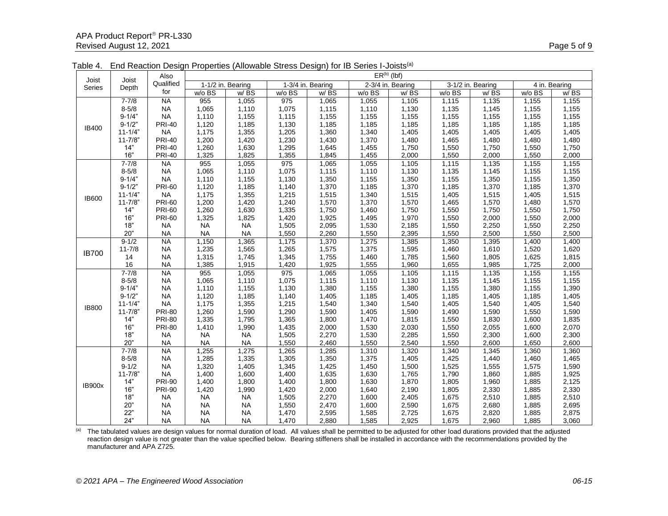| Joist         |                | Also          |           |                   |        |                   |        | $ER^{(b)}$ (lbf)  |        |                   |        |               |
|---------------|----------------|---------------|-----------|-------------------|--------|-------------------|--------|-------------------|--------|-------------------|--------|---------------|
| Series        | Joist<br>Depth | Qualified     |           | 1-1/2 in. Bearing |        | 1-3/4 in. Bearing |        | 2-3/4 in. Bearing |        | 3-1/2 in. Bearing |        | 4 in. Bearing |
|               |                | for           | w/o BS    | w/BS              | w/o BS | w/BS              | w/o BS | w/BS              | w/o BS | w/BS              | w/o BS | w/BS          |
|               | $7 - 7/8$      | <b>NA</b>     | 955       | 1,055             | 975    | 1,065             | 1,055  | 1,105             | 1,115  | 1,135             | 1,155  | 1,155         |
|               | $8 - 5/8$      | <b>NA</b>     | 1,065     | 1,110             | 1,075  | 1,115             | 1,110  | 1,130             | 1,135  | 1,145             | 1,155  | 1,155         |
|               | $9 - 1/4"$     | <b>NA</b>     | 1,110     | 1,155             | 1,115  | 1,155             | 1,155  | 1,155             | 1,155  | 1,155             | 1,155  | 1,155         |
|               | $9 - 1/2"$     | <b>PRI-40</b> | 1,120     | 1,185             | 1,130  | 1,185             | 1,185  | 1,185             | 1,185  | 1,185             | 1,185  | 1,185         |
| <b>IB400</b>  | $11 - 1/4"$    | <b>NA</b>     | 1,175     | 1,355             | 1,205  | 1,360             | 1,340  | 1,405             | 1,405  | 1,405             | 1,405  | 1,405         |
|               | $11 - 7/8"$    | <b>PRI-40</b> | 1,200     | 1,420             | 1,230  | 1,430             | 1,370  | 1,480             | 1,465  | 1,480             | 1,480  | 1,480         |
|               | 14"            | <b>PRI-40</b> | 1,260     | 1,630             | 1,295  | 1,645             | 1,455  | 1,750             | 1,550  | 1,750             | 1,550  | 1,750         |
|               | 16"            | <b>PRI-40</b> | 1,325     | 1,825             | 1,355  | 1,845             | 1,455  | 2,000             | 1,550  | 2,000             | 1,550  | 2,000         |
|               | $7 - 7/8$      | <b>NA</b>     | 955       | 1,055             | 975    | 1,065             | 1,055  | 1,105             | 1,115  | 1,135             | 1,155  | 1,155         |
|               | $8 - 5/8$      | <b>NA</b>     | 1,065     | 1,110             | 1,075  | 1,115             | 1,110  | 1,130             | 1,135  | 1,145             | 1,155  | 1,155         |
|               | $9 - 1/4"$     | <b>NA</b>     | 1,110     | 1,155             | 1,130  | 1,350             | 1,155  | 1,350             | 1,155  | 1,350             | 1,155  | 1,350         |
|               | $9 - 1/2"$     | <b>PRI-60</b> | 1,120     | 1,185             | 1,140  | 1,370             | 1,185  | 1,370             | 1,185  | 1,370             | 1,185  | 1,370         |
| <b>IB600</b>  | $11 - 1/4"$    | <b>NA</b>     | 1,175     | 1,355             | 1,215  | 1,515             | 1,340  | 1,515             | 1,405  | 1,515             | 1,405  | 1,515         |
|               | $11 - 7/8$     | <b>PRI-60</b> | 1,200     | 1,420             | 1,240  | 1,570             | 1,370  | 1,570             | 1,465  | 1,570             | 1,480  | 1,570         |
|               | 14"            | <b>PRI-60</b> | 1,260     | 1,630             | 1,335  | 1,750             | 1,460  | 1,750             | 1,550  | 1,750             | 1,550  | 1,750         |
|               | 16"            | <b>PRI-60</b> | 1,325     | 1,825             | 1,420  | 1,925             | 1,495  | 1,970             | 1,550  | 2,000             | 1,550  | 2,000         |
|               | 18"            | <b>NA</b>     | <b>NA</b> | <b>NA</b>         | 1,505  | 2,095             | 1,530  | 2,185             | 1,550  | 2,250             | 1,550  | 2,250         |
|               | 20"            | <b>NA</b>     | <b>NA</b> | <b>NA</b>         | 1,550  | 2,260             | 1,550  | 2,395             | 1,550  | 2,500             | 1,550  | 2,500         |
|               | $9 - 1/2$      | <b>NA</b>     | 1,150     | 1,365             | 1,175  | 1,370             | 1,275  | 1,385             | 1,350  | 1,395             | 1,400  | 1,400         |
| <b>IB700</b>  | $11 - 7/8$     | <b>NA</b>     | 1,235     | 1,565             | 1,265  | 1,575             | 1,375  | 1,595             | 1,460  | 1,610             | 1,520  | 1,620         |
|               | 14             | <b>NA</b>     | 1,315     | 1,745             | 1,345  | 1,755             | 1,460  | 1,785             | 1,560  | 1,805             | 1,625  | 1,815         |
|               | 16             | <b>NA</b>     | 1,385     | 1,915             | 1,420  | 1,925             | 1,555  | 1,960             | 1,655  | 1,985             | 1,725  | 2,000         |
|               | $7 - 7/8$      | <b>NA</b>     | 955       | 1,055             | 975    | 1,065             | 1,055  | 1,105             | 1,115  | 1,135             | 1,155  | 1,155         |
|               | $8 - 5/8$      | <b>NA</b>     | 1,065     | 1,110             | 1,075  | 1,115             | 1,110  | 1,130             | 1,135  | 1,145             | 1,155  | 1,155         |
|               | $9 - 1/4"$     | <b>NA</b>     | 1,110     | 1,155             | 1,130  | 1,380             | 1,155  | 1,380             | 1,155  | 1,380             | 1,155  | 1,390         |
|               | $9 - 1/2"$     | <b>NA</b>     | 1,120     | 1,185             | 1,140  | 1,405             | 1,185  | 1,405             | 1,185  | 1,405             | 1,185  | 1,405         |
| <b>IB800</b>  | $11 - 1/4"$    | <b>NA</b>     | 1,175     | 1,355             | 1,215  | 1,540             | 1,340  | 1,540             | 1,405  | 1,540             | 1,405  | 1,540         |
|               | $11 - 7/8"$    | <b>PRI-80</b> | 1,260     | 1,590             | 1,290  | 1,590             | 1,405  | 1,590             | 1,490  | 1,590             | 1,550  | 1,590         |
|               | 14"            | <b>PRI-80</b> | 1,335     | 1,795             | 1,365  | 1,800             | 1,470  | 1,815             | 1,550  | 1,830             | 1,600  | 1,835         |
|               | 16"            | <b>PRI-80</b> | 1,410     | 1,990             | 1,435  | 2,000             | 1,530  | 2,030             | 1,550  | 2,055             | 1,600  | 2,070         |
|               | 18"            | <b>NA</b>     | <b>NA</b> | <b>NA</b>         | 1,505  | 2,270             | 1,530  | 2,285             | 1,550  | 2,300             | 1,600  | 2,300         |
|               | 20"            | <b>NA</b>     | <b>NA</b> | <b>NA</b>         | 1,550  | 2,460             | 1,550  | 2,540             | 1,550  | 2,600             | 1,650  | 2,600         |
|               | $7 - 7/8$      | <b>NA</b>     | 1,255     | 1,275             | 1,265  | 1,285             | 1,310  | 1,320             | 1,340  | 1,345             | 1,360  | 1,360         |
|               | $8 - 5/8$      | <b>NA</b>     | 1,285     | 1,335             | 1,305  | 1,350             | 1,375  | 1,405             | 1,425  | 1,440             | 1,460  | 1,465         |
|               | $9 - 1/2$      | <b>NA</b>     | 1,320     | 1,405             | 1,345  | 1,425             | 1,450  | 1,500             | 1,525  | 1,555             | 1,575  | 1,590         |
|               | $11 - 7/8$     | <b>NA</b>     | 1,400     | 1,600             | 1,400  | 1,635             | 1,630  | 1,765             | 1,790  | 1,860             | 1,885  | 1,925         |
| <b>IB900x</b> | 14"            | <b>PRI-90</b> | 1,400     | 1,800             | 1,400  | 1,800             | 1,630  | 1,870             | 1,805  | 1,960             | 1,885  | 2,125         |
|               | 16"            | <b>PRI-90</b> | 1,420     | 1,990             | 1,420  | 2,000             | 1,640  | 2,190             | 1,805  | 2,330             | 1,885  | 2,330         |
|               | 18"            | <b>NA</b>     | <b>NA</b> | <b>NA</b>         | 1,505  | 2,270             | 1,600  | 2,405             | 1,675  | 2,510             | 1,885  | 2,510         |
|               | 20"            | <b>NA</b>     | <b>NA</b> | <b>NA</b>         | 1,550  | 2,470             | 1,600  | 2,590             | 1,675  | 2,680             | 1,885  | 2,695         |
|               | 22"            | <b>NA</b>     | <b>NA</b> | <b>NA</b>         | 1,470  | 2,595             | 1,585  | 2,725             | 1,675  | 2,820             | 1,885  | 2,875         |
|               | 24"            | <b>NA</b>     | <b>NA</b> | <b>NA</b>         | 1,470  | 2,880             | 1,585  | 2,925             | 1,675  | 2,960             | 1,885  | 3,060         |

Table 4. End Reaction Design Properties (Allowable Stress Design) for IB Series I-Joists(a)

(a) The tabulated values are design values for normal duration of load. All values shall be permitted to be adjusted for other load durations provided that the adjusted reaction design value is not greater than the value specified below. Bearing stiffeners shall be installed in accordance with the recommendations provided by the manufacturer and APA Z725.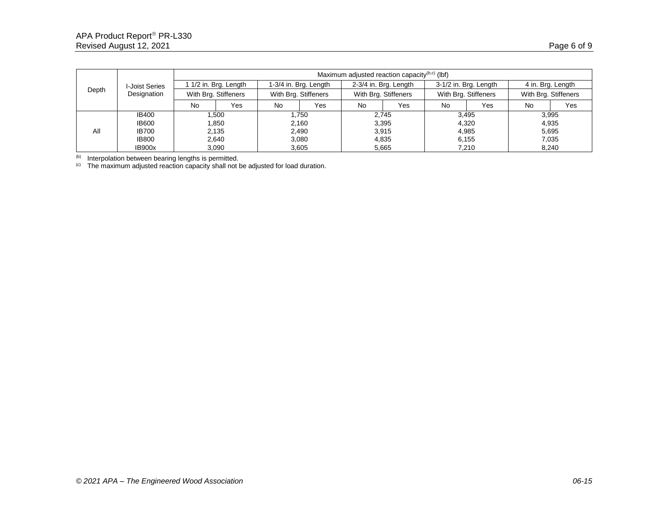|       |                               | Maximum adjusted reaction capacity $(b,c)$ (lbf) |                     |                      |                       |                      |                       |                      |                       |                      |                   |  |
|-------|-------------------------------|--------------------------------------------------|---------------------|----------------------|-----------------------|----------------------|-----------------------|----------------------|-----------------------|----------------------|-------------------|--|
| Depth | I-Joist Series<br>Designation |                                                  | 1/2 in. Brg. Length |                      | 1-3/4 in. Brg. Length |                      | 2-3/4 in. Brg. Length |                      | 3-1/2 in. Brg. Length |                      | 4 in. Brg. Length |  |
|       |                               | With Brg. Stiffeners                             |                     | With Brg. Stiffeners |                       | With Brg. Stiffeners |                       | With Brg. Stiffeners |                       | With Brg. Stiffeners |                   |  |
|       |                               | No                                               | Yes                 | No                   | Yes                   | No                   | Yes                   | <b>No</b>            | Yes                   | <b>No</b>            | Yes               |  |
|       | IB400                         | 1,500                                            |                     | 1.750                |                       | 2.745                |                       |                      | 3,495                 |                      | 3,995             |  |
|       | <b>IB600</b>                  |                                                  | 1,850<br>2,135      |                      | 2,160                 |                      | 3,395                 |                      | 4,320                 |                      | 4,935             |  |
| All   | <b>IB700</b>                  |                                                  |                     |                      | 2,490                 |                      | 3,915                 |                      | 4,985                 |                      | 5,695             |  |
|       | <b>IB800</b>                  |                                                  | 2,640               |                      | 3.080                 | 4,835                |                       |                      | 6.155                 |                      | 7,035             |  |
|       | IB900x                        |                                                  | 3,090               | 3.605                |                       | 5.665                |                       | 7.210                |                       | 8.240                |                   |  |

(b) Interpolation between bearing lengths is permitted.

 $\degree$  The maximum adjusted reaction capacity shall not be adjusted for load duration.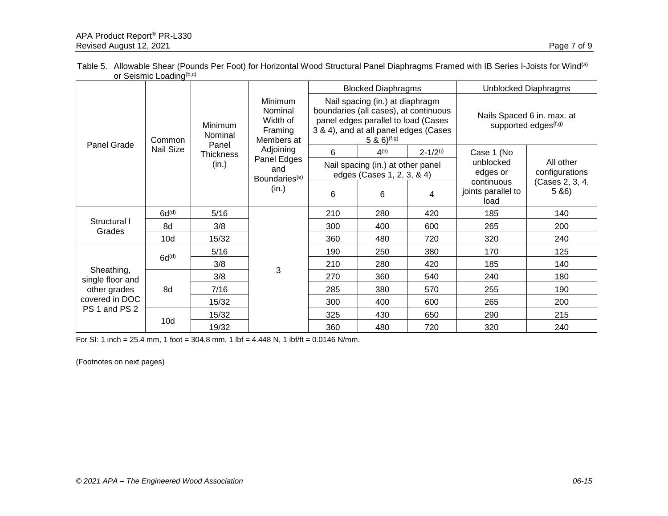| Table 5. Allowable Shear (Pounds Per Foot) for Horizontal Wood Structural Panel Diaphragms Framed with IB Series I-Joists for Wind <sup>(a)</sup> |  |
|---------------------------------------------------------------------------------------------------------------------------------------------------|--|
| or Seismic Loading <sup>(b,c)</sup>                                                                                                               |  |

|                                                 | ur ouurinu Luduriy |                           |                                                         |     |                                                                                                                                                                                       |                          |                                                                |                             |
|-------------------------------------------------|--------------------|---------------------------|---------------------------------------------------------|-----|---------------------------------------------------------------------------------------------------------------------------------------------------------------------------------------|--------------------------|----------------------------------------------------------------|-----------------------------|
|                                                 | Common             | <b>Minimum</b><br>Nominal | Minimum<br>Nominal<br>Width of<br>Framing<br>Members at |     | <b>Blocked Diaphragms</b>                                                                                                                                                             |                          | Unblocked Diaphragms                                           |                             |
|                                                 |                    |                           |                                                         |     | Nail spacing (in.) at diaphragm<br>boundaries (all cases), at continuous<br>panel edges parallel to load (Cases<br>3 & 4), and at all panel edges (Cases<br>5 & $6)$ <sup>(f,g)</sup> |                          | Nails Spaced 6 in. max. at<br>supported edges <sup>(f,g)</sup> |                             |
| Panel Grade                                     | <b>Nail Size</b>   | Panel<br><b>Thickness</b> | Adjoining                                               | 6   | 4 <sup>(h)</sup>                                                                                                                                                                      | $2 - 1/2$ <sup>(i)</sup> | Case 1 (No                                                     |                             |
|                                                 |                    | (in.)                     | Panel Edges<br>and<br>Boundaries <sup>(e)</sup>         |     | Nail spacing (in.) at other panel<br>edges (Cases 1, 2, 3, & 4)                                                                                                                       |                          | unblocked<br>edges or                                          | All other<br>configurations |
|                                                 |                    |                           | (in.)                                                   | 6   | 6                                                                                                                                                                                     | 4                        | continuous<br>joints parallel to<br>load                       | (Cases 2, 3, 4,<br>5 & 86   |
|                                                 | 6d <sup>(d)</sup>  | 5/16                      |                                                         | 210 | 280                                                                                                                                                                                   | 420                      | 185                                                            | 140                         |
| Structural I<br>Grades                          | 8d                 | 3/8                       |                                                         | 300 | 400                                                                                                                                                                                   | 600                      | 265                                                            | 200                         |
|                                                 | 10d                | 15/32                     |                                                         | 360 | 480                                                                                                                                                                                   | 720                      | 320                                                            | 240                         |
|                                                 |                    | 5/16                      |                                                         | 190 | 250                                                                                                                                                                                   | 380                      | 170                                                            | 125                         |
|                                                 | 6d <sub>(q)</sub>  | 3/8                       |                                                         | 210 | 280                                                                                                                                                                                   | 420                      | 185                                                            | 140                         |
| Sheathing,<br>single floor and                  |                    | 3/8                       | 3                                                       | 270 | 360                                                                                                                                                                                   | 540                      | 240                                                            | 180                         |
| other grades<br>covered in DOC<br>PS 1 and PS 2 | 8d                 | 7/16                      |                                                         | 285 | 380                                                                                                                                                                                   | 570                      | 255                                                            | 190                         |
|                                                 |                    | 15/32                     |                                                         | 300 | 400                                                                                                                                                                                   | 600                      | 265                                                            | 200                         |
|                                                 |                    | 15/32                     |                                                         | 325 | 430                                                                                                                                                                                   | 650                      | 290                                                            | 215                         |
|                                                 | 10d                | 19/32                     |                                                         | 360 | 480                                                                                                                                                                                   | 720                      | 320                                                            | 240                         |

For SI: 1 inch = 25.4 mm, 1 foot = 304.8 mm, 1 lbf = 4.448 N, 1 lbf/ft = 0.0146 N/mm.

(Footnotes on next pages)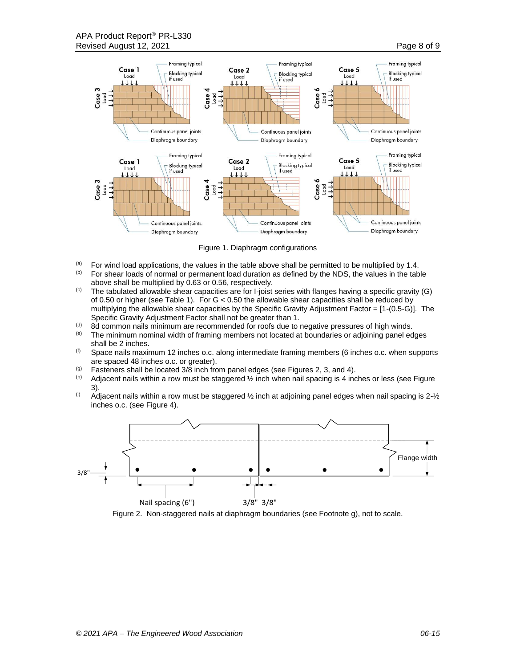

Figure 1. Diaphragm configurations

- (a) For wind load applications, the values in the table above shall be permitted to be multiplied by 1.4. For shear loads of normal or permanent load duration as defined by the NDS, the values in the table above shall be multiplied by 0.63 or 0.56, respectively.
- $\degree$  The tabulated allowable shear capacities are for I-joist series with flanges having a specific gravity (G) of 0.50 or higher (see Table 1). For G < 0.50 the allowable shear capacities shall be reduced by multiplying the allowable shear capacities by the Specific Gravity Adjustment Factor = [1-(0.5-G)]. The Specific Gravity Adjustment Factor shall not be greater than 1.
- (d) 8d common nails minimum are recommended for roofs due to negative pressures of high winds.<br>(e) The minimum nominal width of framing members not located at boundaries or adjoining panel eq
- The minimum nominal width of framing members not located at boundaries or adjoining panel edges shall be 2 inches.
- $(6)$  Space nails maximum 12 inches o.c. along intermediate framing members (6 inches o.c. when supports are spaced 48 inches o.c. or greater).
- (g) Fasteners shall be located  $3/8$  inch from panel edges (see Figures 2, 3, and 4).<br>(b) Adjacent pails within a row must be staggered  $1/6$  inch when pail spacing is 4 inc
- Adjacent nails within a row must be staggered  $\frac{1}{2}$  inch when nail spacing is 4 inches or less (see Figure 3).
- $^{(i)}$  Adjacent nails within a row must be staggered  $\frac{1}{2}$  inch at adjoining panel edges when nail spacing is 2- $\frac{1}{2}$ inches o.c. (see Figure 4).



Figure 2. Non-staggered nails at diaphragm boundaries (see Footnote g), not to scale.